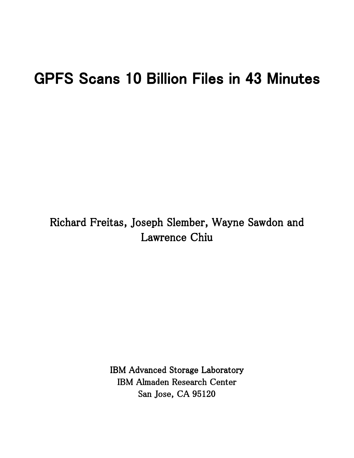# GPFS Scans 10 Billion Files in 43 Minutes

Richard Freitas, Joseph Slember, Wayne Sawdon and Lawrence Chiu

> IBM Advanced Storage Laboratory IBM Almaden Research Center San Jose, CA 95120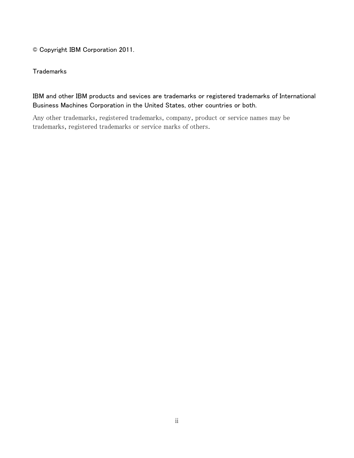© Copyright IBM Corporation 2011.

#### **Trademarks**

## IBM and other IBM products and sevices are trademarks or registered trademarks of International Business Machines Corporation in the United States, other countries or both.

Any other trademarks, registered trademarks, company, product or service names may be trademarks, registered trademarks or service marks of others.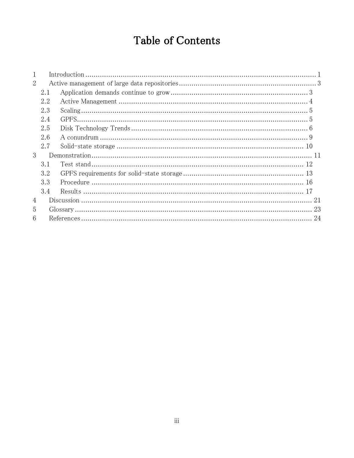# **Table of Contents**

| 1              |     |  |  |  |  |
|----------------|-----|--|--|--|--|
| $\overline{2}$ |     |  |  |  |  |
|                | 2.1 |  |  |  |  |
|                | 2.2 |  |  |  |  |
|                | 2.3 |  |  |  |  |
|                | 2.4 |  |  |  |  |
|                | 2.5 |  |  |  |  |
|                | 2.6 |  |  |  |  |
|                | 2.7 |  |  |  |  |
| 3              |     |  |  |  |  |
|                | 3.1 |  |  |  |  |
|                | 3.2 |  |  |  |  |
|                | 3.3 |  |  |  |  |
|                | 3.4 |  |  |  |  |
| $\overline{4}$ |     |  |  |  |  |
| 5              |     |  |  |  |  |
| 6              |     |  |  |  |  |
|                |     |  |  |  |  |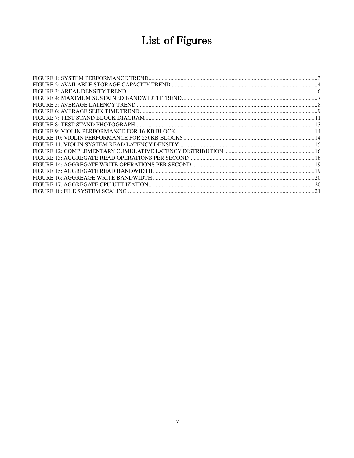# List of Figures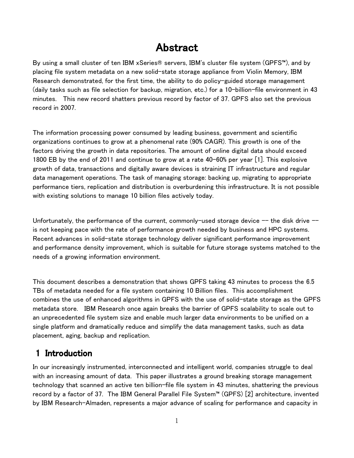# Abstract

By using a small cluster of ten IBM xSeries® servers, IBM's cluster file system (GPFS™), and by placing file system metadata on a new solid-state storage appliance from Violin Memory, IBM Research demonstrated, for the first time, the ability to do policy-guided storage management (daily tasks such as file selection for backup, migration, etc.) for a 10-billion-file environment in 43 minutes. This new record shatters previous record by factor of 37. GPFS also set the previous record in 2007.

The information processing power consumed by leading business, government and scientific organizations continues to grow at a phenomenal rate (90% CAGR). This growth is one of the factors driving the growth in data repositories. The amount of online digital data should exceed 1800 EB by the end of 2011 and continue to grow at a rate 40-60% per year [1]. This explosive growth of data, transactions and digitally aware devices is straining IT infrastructure and regular data management operations. The task of managing storage: backing up, migrating to appropriate performance tiers, replication and distribution is overburdening this infrastructure. It is not possible with existing solutions to manage 10 billion files actively today.

Unfortunately, the performance of the current, commonly-used storage device  $-$  the disk drive  $$ is not keeping pace with the rate of performance growth needed by business and HPC systems. Recent advances in solid-state storage technology deliver significant performance improvement and performance density improvement, which is suitable for future storage systems matched to the needs of a growing information environment.

This document describes a demonstration that shows GPFS taking 43 minutes to process the 6.5 TBs of metadata needed for a file system containing 10 Billion files. This accomplishment combines the use of enhanced algorithms in GPFS with the use of solid-state storage as the GPFS metadata store. IBM Research once again breaks the barrier of GPFS scalability to scale out to an unprecedented file system size and enable much larger data environments to be unified on a single platform and dramatically reduce and simplify the data management tasks, such as data placement, aging, backup and replication.

## 1 Introduction

In our increasingly instrumented, interconnected and intelligent world, companies struggle to deal with an increasing amount of data. This paper illustrates a ground breaking storage management technology that scanned an active ten billion-file file system in 43 minutes, shattering the previous record by a factor of 37. The IBM General Parallel File System™ (GPFS) [2] architecture, invented by IBM Research-Almaden, represents a major advance of scaling for performance and capacity in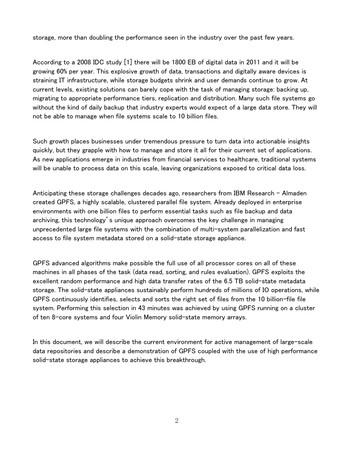storage, more than doubling the performance seen in the industry over the past few years.

According to a 2008 IDC study [1] there will be 1800 EB of digital data in 2011 and it will be growing 60% per year. This explosive growth of data, transactions and digitally aware devices is straining IT infrastructure, while storage budgets shrink and user demands continue to grow. At current levels, existing solutions can barely cope with the task of managing storage: backing up, migrating to appropriate performance tiers, replication and distribution. Many such file systems go without the kind of daily backup that industry experts would expect of a large data store. They will not be able to manage when file systems scale to 10 billion files.

Such growth places businesses under tremendous pressure to turn data into actionable insights quickly, but they grapple with how to manage and store it all for their current set of applications. As new applications emerge in industries from financial services to healthcare, traditional systems will be unable to process data on this scale, leaving organizations exposed to critical data loss.

Anticipating these storage challenges decades ago, researchers from IBM Research – Almaden created GPFS, a highly scalable, clustered parallel file system. Already deployed in enterprise environments with one billion files to perform essential tasks such as file backup and data archiving, this technology's unique approach overcomes the key challenge in managing unprecedented large file systems with the combination of multi-system parallelization and fast access to file system metadata stored on a solid-state storage appliance.

GPFS advanced algorithms make possible the full use of all processor cores on all of these machines in all phases of the task (data read, sorting, and rules evaluation). GPFS exploits the excellent random performance and high data transfer rates of the 6.5 TB solid-state metadata storage. The solid-state appliances sustainably perform hundreds of millions of IO operations, while GPFS continuously identifies, selects and sorts the right set of files from the 10 billion-file file system. Performing this selection in 43 minutes was achieved by using GPFS running on a cluster of ten 8-core systems and four Violin Memory solid-state memory arrays.

In this document, we will describe the current environment for active management of large-scale data repositories and describe a demonstration of GPFS coupled with the use of high performance solid-state storage appliances to achieve this breakthrough.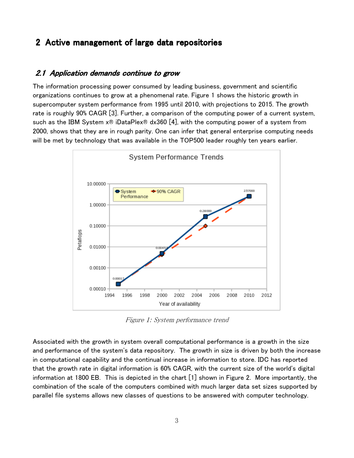## 2 Active management of large data repositories

#### 2.1 Application demands continue to grow

The information processing power consumed by leading business, government and scientific organizations continues to grow at a phenomenal rate. Figure 1 shows the historic growth in supercomputer system performance from 1995 until 2010, with projections to 2015. The growth rate is roughly 90% CAGR [3]. Further, a comparison of the computing power of a current system, such as the IBM System  $x \otimes$  iDataPlex $\otimes$  dx360 [4], with the computing power of a system from 2000, shows that they are in rough parity. One can infer that general enterprise computing needs will be met by technology that was available in the TOP500 leader roughly ten years earlier.



Figure 1: System performance trend

Associated with the growth in system overall computational performance is a growth in the size and performance of the system's data repository. The growth in size is driven by both the increase in computational capability and the continual increase in information to store. IDC has reported that the growth rate in digital information is 60% CAGR, with the current size of the world's digital information at 1800 EB. This is depicted in the chart [1] shown in Figure 2. More importantly, the combination of the scale of the computers combined with much larger data set sizes supported by parallel file systems allows new classes of questions to be answered with computer technology.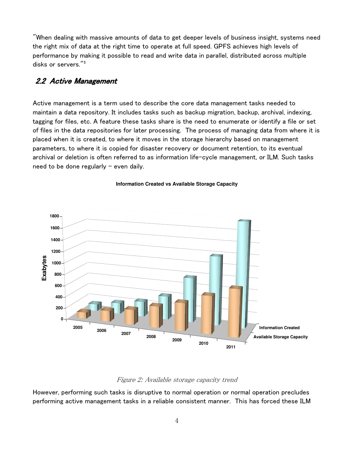$\mathrm{''}$ When dealing with massive amounts of data to get deeper levels of business insight, systems need the right mix of data at the right time to operate at full speed. GPFS achieves high levels of performance by making it possible to read and write data in parallel, distributed across multiple disks or servers."<sup>5</sup>

#### 2.2 Active Management

Active management is a term used to describe the core data management tasks needed to maintain a data repository. It includes tasks such as backup migration, backup, archival, indexing, tagging for files, etc. A feature these tasks share is the need to enumerate or identify a file or set of files in the data repositories for later processing. The process of managing data from where it is placed when it is created, to where it moves in the storage hierarchy based on management parameters, to where it is copied for disaster recovery or document retention, to its eventual archival or deletion is often referred to as information life-cycle management, or ILM. Such tasks need to be done regularly – even daily.



#### **Information Created vs Available Storage Capacity**

#### Figure 2: Available storage capacity trend

However, performing such tasks is disruptive to normal operation or normal operation precludes performing active management tasks in a reliable consistent manner. This has forced these ILM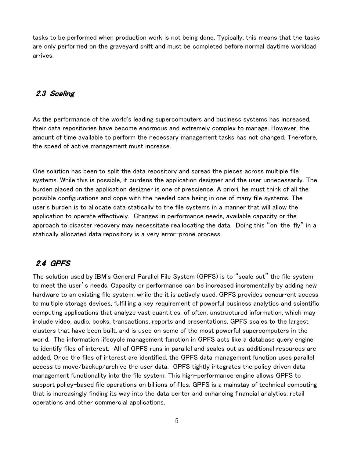tasks to be performed when production work is not being done. Typically, this means that the tasks are only performed on the graveyard shift and must be completed before normal daytime workload arrives.

#### 2.3 Scaling

As the performance of the world's leading supercomputers and business systems has increased, their data repositories have become enormous and extremely complex to manage. However, the amount of time available to perform the necessary management tasks has not changed. Therefore, the speed of active management must increase.

One solution has been to split the data repository and spread the pieces across multiple file systems. While this is possible, it burdens the application designer and the user unnecessarily. The burden placed on the application designer is one of prescience. A priori, he must think of all the possible configurations and cope with the needed data being in one of many file systems. The user's burden is to allocate data statically to the file systems in a manner that will allow the application to operate effectively. Changes in performance needs, available capacity or the approach to disaster recovery may necessitate reallocating the data. Doing this "on-the-fly" in a statically allocated data repository is a very error-prone process.

## 2.4 GPFS

The solution used by IBM's General Parallel File System (GPFS) is to "scale out" the file system to meet the user's needs. Capacity or performance can be increased incrementally by adding new hardware to an existing file system, while the it is actively used. GPFS provides concurrent access to multiple storage devices, fulfilling a key requirement of powerful business analytics and scientific computing applications that analyze vast quantities, of often, unstructured information, which may include video, audio, books, transactions, reports and presentations. GPFS scales to the largest clusters that have been built, and is used on some of the most powerful supercomputers in the world. The information lifecycle management function in GPFS acts like a database query engine to identify files of interest. All of GPFS runs in parallel and scales out as additional resources are added. Once the files of interest are identified, the GPFS data management function uses parallel access to move/backup/archive the user data. GPFS tightly integrates the policy driven data management functionality into the file system. This high-performance engine allows GPFS to support policy-based file operations on billions of files. GPFS is a mainstay of technical computing that is increasingly finding its way into the data center and enhancing financial analytics, retail operations and other commercial applications.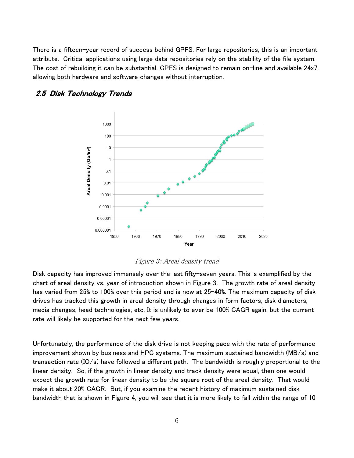There is a fifteen-year record of success behind GPFS. For large repositories, this is an important attribute. Critical applications using large data repositories rely on the stability of the file system. The cost of rebuilding it can be substantial. GPFS is designed to remain on-line and available 24x7, allowing both hardware and software changes without interruption.



#### 2.5 Disk Technology Trends



Disk capacity has improved immensely over the last fifty-seven years. This is exemplified by the chart of areal density vs. year of introduction shown in Figure 3. The growth rate of areal density has varied from 25% to 100% over this period and is now at 25-40%. The maximum capacity of disk drives has tracked this growth in areal density through changes in form factors, disk diameters, media changes, head technologies, etc. It is unlikely to ever be 100% CAGR again, but the current rate will likely be supported for the next few years.

Unfortunately, the performance of the disk drive is not keeping pace with the rate of performance improvement shown by business and HPC systems. The maximum sustained bandwidth (MB/s) and transaction rate (IO/s) have followed a different path. The bandwidth is roughly proportional to the linear density. So, if the growth in linear density and track density were equal, then one would expect the growth rate for linear density to be the square root of the areal density. That would make it about 20% CAGR. But, if you examine the recent history of maximum sustained disk bandwidth that is shown in Figure 4, you will see that it is more likely to fall within the range of 10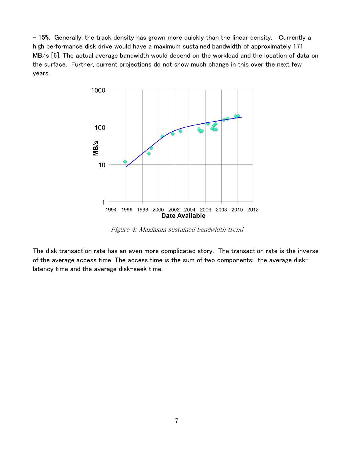– 15%. Generally, the track density has grown more quickly than the linear density. Currently a high performance disk drive would have a maximum sustained bandwidth of approximately 171 MB/s [6]. The actual average bandwidth would depend on the workload and the location of data on the surface. Further, current projections do not show much change in this over the next few years.



Figure 4: Maximum sustained bandwidth trend

The disk transaction rate has an even more complicated story. The transaction rate is the inverse of the average access time. The access time is the sum of two components: the average disklatency time and the average disk-seek time.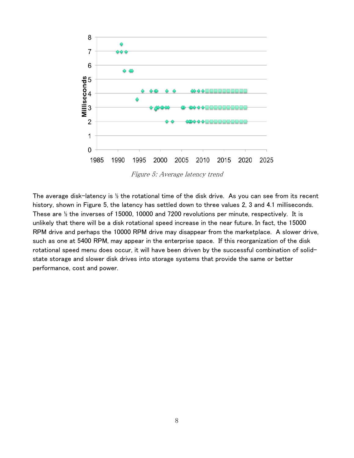

The average disk-latency is  $\frac{1}{2}$  the rotational time of the disk drive. As you can see from its recent history, shown in Figure 5, the latency has settled down to three values 2, 3 and 4.1 milliseconds. These are ½ the inverses of 15000, 10000 and 7200 revolutions per minute, respectively. It is unlikely that there will be a disk rotational speed increase in the near future. In fact, the 15000 RPM drive and perhaps the 10000 RPM drive may disappear from the marketplace. A slower drive, such as one at 5400 RPM, may appear in the enterprise space. If this reorganization of the disk rotational speed menu does occur, it will have been driven by the successful combination of solidstate storage and slower disk drives into storage systems that provide the same or better performance, cost and power.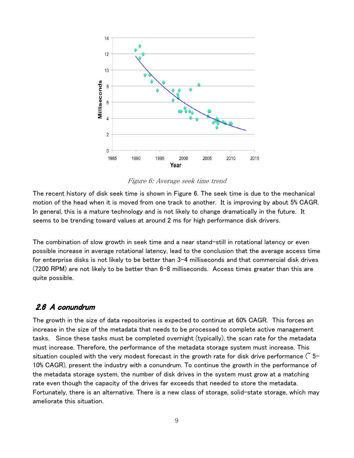

Figure 6: Average seek time trend

The recent history of disk seek time is shown in Figure 6. The seek time is due to the mechanical motion of the head when it is moved from one track to another. It is improving by about 5% CAGR. In general, this is a mature technology and is not likely to change dramatically in the future. It seems to be trending toward values at around 2 ms for high performance disk drivers.

The combination of slow growth in seek time and a near stand-still in rotational latency or even possible increase in average rotational latency, lead to the conclusion that the average access time for enterprise disks is not likely to be better than 3-4 milliseconds and that commercial disk drives (7200 RPM) are not likely to be better than 6-8 milliseconds. Access times greater than this are quite possible.

#### $2.6$  A conundrum

The growth in the size of data repositories is expected to continue at 60% CAGR. This forces an increase in the size of the metadata that needs to be processed to complete active management tasks. Since these tasks must be completed overnight (typically), the scan rate for the metadata must increase. Therefore, the performance of the metadata storage system must increase. This situation coupled with the very modest forecast in the growth rate for disk drive performance ( $\tilde{5}$ -10% CAGR), present the industry with a conundrum. To continue the growth in the performance of the metadata storage system, the number of disk drives in the system must grow at a matching rate even though the capacity of the drives far exceeds that needed to store the metadata. Fortunately, there is an alternative. There is a new class of storage, solid-state storage, which may ameliorate this situation.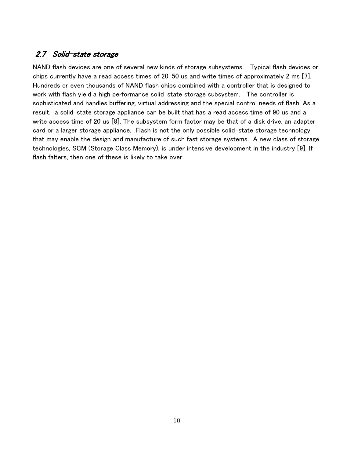### 2.7 Solid-state storage

NAND flash devices are one of several new kinds of storage subsystems. Typical flash devices or chips currently have a read access times of 20-50 us and write times of approximately 2 ms [7]. Hundreds or even thousands of NAND flash chips combined with a controller that is designed to work with flash yield a high performance solid-state storage subsystem. The controller is sophisticated and handles buffering, virtual addressing and the special control needs of flash. As a result, a solid-state storage appliance can be built that has a read access time of 90 us and a write access time of 20 us [8]. The subsystem form factor may be that of a disk drive, an adapter card or a larger storage appliance. Flash is not the only possible solid-state storage technology that may enable the design and manufacture of such fast storage systems. A new class of storage technologies, SCM (Storage Class Memory), is under intensive development in the industry [9]. If flash falters, then one of these is likely to take over.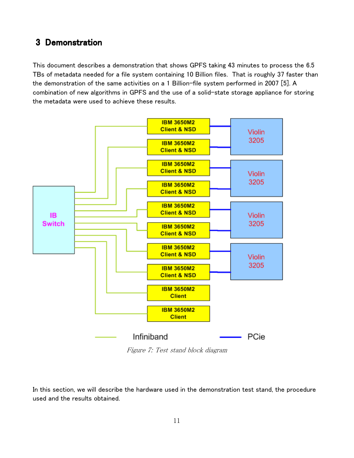## 3 Demonstration

This document describes a demonstration that shows GPFS taking 43 minutes to process the 6.5 TBs of metadata needed for a file system containing 10 Billion files. That is roughly 37 faster than the demonstration of the same activities on a 1 Billion-file system performed in 2007 [5]. A combination of new algorithms in GPFS and the use of a solid-state storage appliance for storing the metadata were used to achieve these results.



Figure 7: Test stand block diagram

In this section, we will describe the hardware used in the demonstration test stand, the procedure used and the results obtained.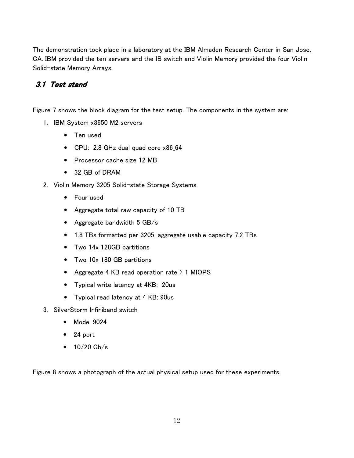The demonstration took place in a laboratory at the IBM Almaden Research Center in San Jose, CA. IBM provided the ten servers and the IB switch and Violin Memory provided the four Violin Solid-state Memory Arrays.

## 3.1 Test stand

Figure 7 shows the block diagram for the test setup. The components in the system are:

- 1. IBM System x3650 M2 servers
	- Ten used
	- CPU: 2.8 GHz dual quad core x86\_64
	- Processor cache size 12 MB
	- 32 GB of DRAM
- 2. Violin Memory 3205 Solid-state Storage Systems
	- Four used
	- Aggregate total raw capacity of 10 TB
	- Aggregate bandwidth 5 GB/s
	- 1.8 TBs formatted per 3205, aggregate usable capacity 7.2 TBs
	- Two 14x 128GB partitions
	- Two 10x 180 GB partitions
	- Aggregate 4 KB read operation rate  $> 1$  MIOPS
	- Typical write latency at 4KB: 20us
	- Typical read latency at 4 KB: 90us
- 3. SilverStorm Infiniband switch
	- Model 9024
	- 24 port
	- $10/20$  Gb/s

Figure 8 shows a photograph of the actual physical setup used for these experiments.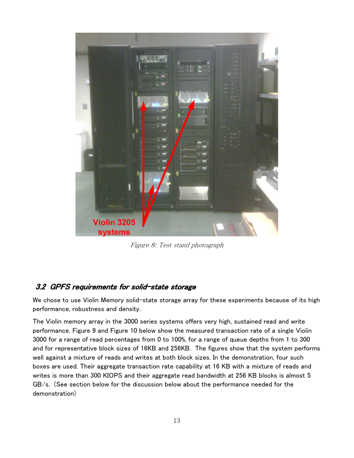

Figure 8: Test stand photograph

## 3.2 GPFS requirements for solid-state storage

We chose to use Violin Memory solid-state storage array for these experiments because of its high performance, robustness and density.

The Violin memory array in the 3000 series systems offers very high, sustained read and write performance. Figure 9 and Figure 10 below show the measured transaction rate of a single Violin 3000 for a range of read percentages from 0 to 100%, for a range of queue depths from 1 to 300 and for representative block sizes of 16KB and 256KB. The figures show that the system performs well against a mixture of reads and writes at both block sizes. In the demonstration, four such boxes are used. Their aggregate transaction rate capability at 16 KB with a mixture of reads and writes is more than 300 KIOPS and their aggregate read bandwidth at 256 KB blocks is almost 5 GB/s. (See section below for the discussion below about the performance needed for the demonstration)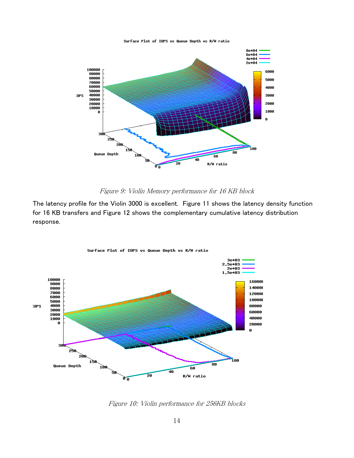

#### Figure 9: Violin Memory performance for 16 KB block

The latency profile for the Violin 3000 is excellent. Figure 11 shows the latency density function for 16 KB transfers and Figure 12 shows the complementary cumulative latency distribution response.



Surface Plot of IOPS vs Queue Depth vs R/W ratio

Figure 10: Violin performance for 256KB blocks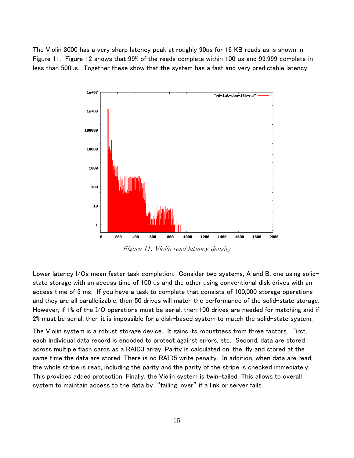The Violin 3000 has a very sharp latency peak at roughly 90us for 16 KB reads as is shown in Figure 11. Figure 12 shows that 99% of the reads complete within 100 us and 99.999 complete in less than 500us. Together these show that the system has a fast and very predictable latency.



Figure 11: Violin read latency density

Lower latency I/Os mean faster task completion. Consider two systems, A and B, one using solidstate storage with an access time of 100 us and the other using conventional disk drives with an access time of 5 ms. If you have a task to complete that consists of 100,000 storage operations and they are all parallelizable, then 50 drives will match the performance of the solid-state storage. However, if 1% of the I/O operations must be serial, then 100 drives are needed for matching and if 2% must be serial, then it is impossible for a disk-based system to match the solid-state system.

The Violin system is a robust storage device. It gains its robustness from three factors. First, each individual data record is encoded to protect against errors, etc. Second, data are stored across multiple flash cards as a RAID3 array. Parity is calculated on-the-fly and stored at the same time the data are stored. There is no RAID5 write penalty. In addition, when data are read, the whole stripe is read, including the parity and the parity of the stripe is checked immediately. This provides added protection. Finally, the Violin system is twin-tailed. This allows to overall system to maintain access to the data by "failing-over" if a link or server fails.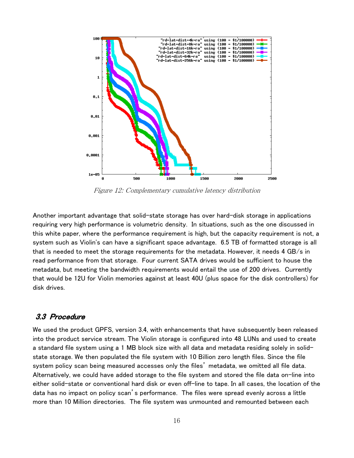

Figure 12: Complementary cumulative latency distribution

Another important advantage that solid-state storage has over hard-disk storage in applications requiring very high performance is volumetric density. In situations, such as the one discussed in this white paper, where the performance requirement is high, but the capacity requirement is not, a system such as Violin's can have a significant space advantage. 6.5 TB of formatted storage is all that is needed to meet the storage requirements for the metadata. However, it needs 4 GB/s in read performance from that storage. Four current SATA drives would be sufficient to house the metadata, but meeting the bandwidth requirements would entail the use of 200 drives. Currently that would be 12U for Violin memories against at least 40U (plus space for the disk controllers) for disk drives.

### 3.3 Procedure

We used the product GPFS, version 3.4, with enhancements that have subsequently been released into the product service stream. The Violin storage is configured into 48 LUNs and used to create a standard file system using a 1 MB block size with all data and metadata residing solely in solidstate storage. We then populated the file system with 10 Billion zero length files. Since the file system policy scan being measured accesses only the files' metadata, we omitted all file data. Alternatively, we could have added storage to the file system and stored the file data on-line into either solid-state or conventional hard disk or even off-line to tape. In all cases, the location of the data has no impact on policy scan's performance. The files were spread evenly across a little more than 10 Million directories. The file system was unmounted and remounted between each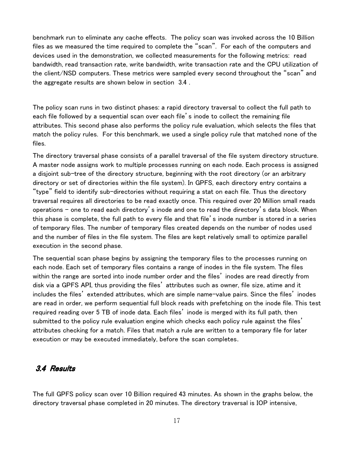benchmark run to eliminate any cache effects. The policy scan was invoked across the 10 Billion files as we measured the time required to complete the "scan". For each of the computers and devices used in the demonstration, we collected measurements for the following metrics: read bandwidth, read transaction rate, write bandwidth, write transaction rate and the CPU utilization of the client/NSD computers. These metrics were sampled every second throughout the "scan" and the aggregate results are shown below in section 3.4 .

The policy scan runs in two distinct phases: a rapid directory traversal to collect the full path to each file followed by a sequential scan over each file's inode to collect the remaining file attributes. This second phase also performs the policy rule evaluation, which selects the files that match the policy rules. For this benchmark, we used a single policy rule that matched none of the files.

The directory traversal phase consists of a parallel traversal of the file system directory structure. A master node assigns work to multiple processes running on each node. Each process is assigned a disjoint sub-tree of the directory structure, beginning with the root directory (or an arbitrary directory or set of directories within the file system). In GPFS, each directory entry contains a "type" field to identify sub-directories without requiring a stat on each file. Thus the directory traversal requires all directories to be read exactly once. This required over 20 Million small reads operations – one to read each directory's inode and one to read the directory's data block. When this phase is complete, the full path to every file and that file's inode number is stored in a series of temporary files. The number of temporary files created depends on the number of nodes used and the number of files in the file system. The files are kept relatively small to optimize parallel execution in the second phase.

The sequential scan phase begins by assigning the temporary files to the processes running on each node. Each set of temporary files contains a range of inodes in the file system. The files within the range are sorted into inode number order and the files' inodes are read directly from disk via a GPFS API, thus providing the files' attributes such as owner, file size, atime and it includes the files' extended attributes, which are simple name-value pairs. Since the files' inodes are read in order, we perform sequential full block reads with prefetching on the inode file. This test required reading over 5 TB of inode data. Each files' inode is merged with its full path, then submitted to the policy rule evaluation engine which checks each policy rule against the files' attributes checking for a match. Files that match a rule are written to a temporary file for later execution or may be executed immediately, before the scan completes.

#### 3.4 Results

The full GPFS policy scan over 10 Billion required 43 minutes. As shown in the graphs below, the directory traversal phase completed in 20 minutes. The directory traversal is IOP intensive,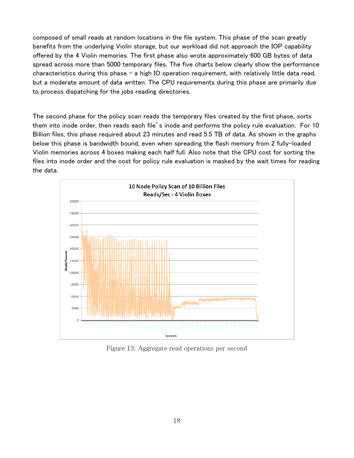composed of small reads at random locations in the file system. This phase of the scan greatly benefits from the underlying Violin storage, but our workload did not approach the IOP capability offered by the 4 Violin memories. The first phase also wrote approximately 600 GB bytes of data spread across more than 5000 temporary files. The five charts below clearly show the performance characteristics during this phase – a high IO operation requirement, with relatively little data read, but a moderate amount of data written. The CPU requirements during this phase are primarily due to process dispatching for the jobs reading directories.

The second phase for the policy scan reads the temporary files created by the first phase, sorts them into inode order, then reads each file's inode and performs the policy rule evaluation. For 10 Billion files, this phase required about 23 minutes and read 5.5 TB of data. As shown in the graphs below this phase is bandwidth bound, even when spreading the flash memory from 2 fully-loaded Violin memories across 4 boxes making each half full. Also note that the CPU cost for sorting the files into inode order and the cost for policy rule evaluation is masked by the wait times for reading the data.



Figure 13: Aggregate read operations per second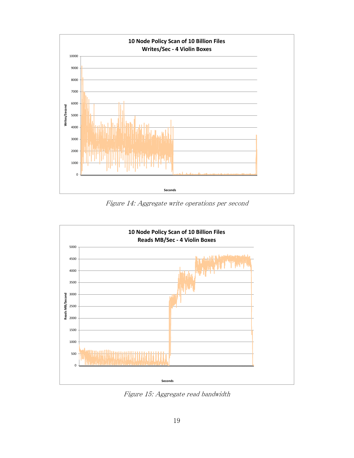

Figure 14: Aggregate write operations per second



Figure 15: Aggregate read bandwidth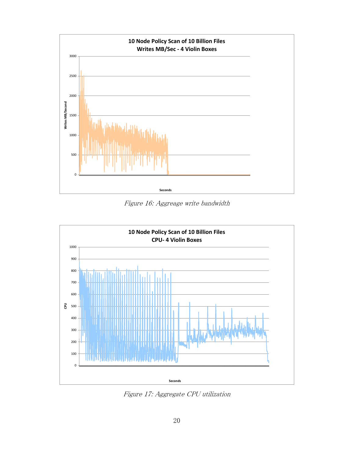

Figure 16: Aggreage write bandwidth



Figure 17: Aggregate CPU utilization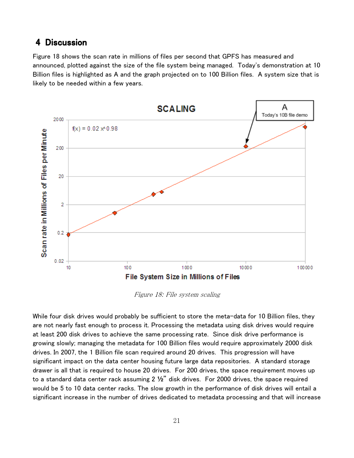## 4 Discussion

Figure 18 shows the scan rate in millions of files per second that GPFS has measured and announced, plotted against the size of the file system being managed. Today's demonstration at 10 Billion files is highlighted as A and the graph projected on to 100 Billion files. A system size that is likely to be needed within a few years.



Figure 18: File system scaling

While four disk drives would probably be sufficient to store the meta-data for 10 Billion files, they are not nearly fast enough to process it. Processing the metadata using disk drives would require at least 200 disk drives to achieve the same processing rate. Since disk drive performance is growing slowly; managing the metadata for 100 Billion files would require approximately 2000 disk drives. In 2007, the 1 Billion file scan required around 20 drives. This progression will have significant impact on the data center housing future large data repositories. A standard storage drawer is all that is required to house 20 drives. For 200 drives, the space requirement moves up to a standard data center rack assuming 2 **½**" disk drives. For 2000 drives, the space required would be 5 to 10 data center racks. The slow growth in the performance of disk drives will entail a significant increase in the number of drives dedicated to metadata processing and that will increase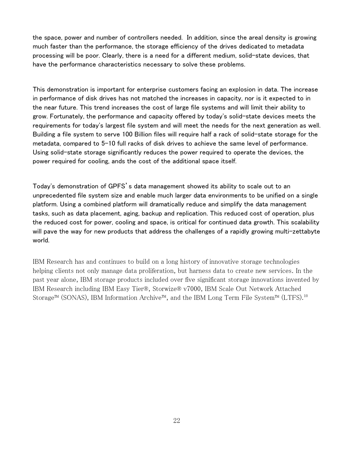the space, power and number of controllers needed. In addition, since the areal density is growing much faster than the performance, the storage efficiency of the drives dedicated to metadata processing will be poor. Clearly, there is a need for a different medium, solid-state devices, that have the performance characteristics necessary to solve these problems.

This demonstration is important for enterprise customers facing an explosion in data. The increase in performance of disk drives has not matched the increases in capacity, nor is it expected to in the near future. This trend increases the cost of large file systems and will limit their ability to grow. Fortunately, the performance and capacity offered by today's solid-state devices meets the requirements for today's largest file system and will meet the needs for the next generation as well. Building a file system to serve 100 Billion files will require half a rack of solid-state storage for the metadata, compared to 5-10 full racks of disk drives to achieve the same level of performance. Using solid-state storage significantly reduces the power required to operate the devices, the power required for cooling, ands the cost of the additional space itself.

Today's demonstration of GPFS's data management showed its ability to scale out to an unprecedented file system size and enable much larger data environments to be unified on a single platform. Using a combined platform will dramatically reduce and simplify the data management tasks, such as data placement, aging, backup and replication. This reduced cost of operation, plus the reduced cost for power, cooling and space, is critical for continued data growth. This scalability will pave the way for new products that address the challenges of a rapidly growing multi-zettabyte world.

IBM Research has and continues to build on a long history of innovative storage technologies helping clients not only manage data proliferation, but harness data to create new services. In the past year alone, IBM storage products included over five significant storage innovations invented by IBM Research including IBM Easy Tier®, Storwize® v7000, IBM Scale Out Network Attached Storage™ (SONAS), IBM Information Archive™, and the IBM Long Term File System™ (LTFS).<sup>10</sup>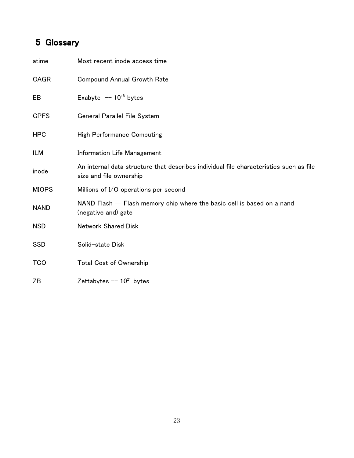# 5 Glossary

| atime        | Most recent inode access time                                                                                     |
|--------------|-------------------------------------------------------------------------------------------------------------------|
| CAGR         | <b>Compound Annual Growth Rate</b>                                                                                |
| EB           | Exabyte $-10^{18}$ bytes                                                                                          |
| <b>GPFS</b>  | General Parallel File System                                                                                      |
| <b>HPC</b>   | <b>High Performance Computing</b>                                                                                 |
| <b>ILM</b>   | <b>Information Life Management</b>                                                                                |
| inode        | An internal data structure that describes individual file characteristics such as file<br>size and file ownership |
| <b>MIOPS</b> | Millions of I/O operations per second                                                                             |
| <b>NAND</b>  | NAND Flash -- Flash memory chip where the basic cell is based on a nand<br>(negative and) gate                    |
| <b>NSD</b>   | <b>Network Shared Disk</b>                                                                                        |
| <b>SSD</b>   | Solid-state Disk                                                                                                  |
| <b>TCO</b>   | Total Cost of Ownership                                                                                           |
| ZΒ           | Zettabytes $-- 10^{21}$ bytes                                                                                     |